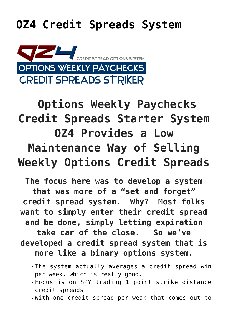## **[OZ4 Credit Spreads System](https://optionsweeklypaychecks.com/oz4-credit-spreads-system/)**



## **Options Weekly Paychecks Credit Spreads Starter System OZ4 Provides a Low Maintenance Way of Selling Weekly Options Credit Spreads**

**The focus here was to develop a system that was more of a "set and forget" credit spread system. Why? Most folks want to simply enter their credit spread and be done, simply letting expiration take car of the close. So we've developed a credit spread system that is more like a binary options system.**

- The system actually averages a credit spread win per week, which is really good.
- Focus is on SPY trading 1 point strike distance credit spreads
- With one credit spread per weak that comes out to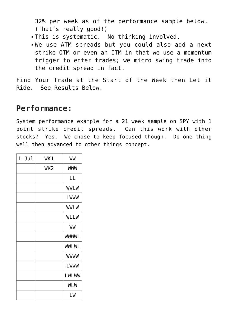32% per week as of the performance sample below. (That's really good!)

- This is systematic. No thinking involved.
- We use ATM spreads but you could also add a next strike OTM or even an ITM in that we use a momentum trigger to enter trades; we micro swing trade into the credit spread in fact.

Find Your Trade at the Start of the Week then Let it Ride. See Results Below.

## **Performance:**

System performance example for a 21 week sample on SPY with 1 point strike credit spreads. Can this work with other stocks? Yes. We chose to keep focused though. Do one thing well then advanced to other things concept.

| $1 - Jul$ | WK1 | WW           |
|-----------|-----|--------------|
|           | WK2 | <b>WWW</b>   |
|           |     | LL           |
|           |     | <b>WWLW</b>  |
|           |     | LWWW         |
|           |     | <b>WWLW</b>  |
|           |     | <b>WLLW</b>  |
|           |     | WW           |
|           |     | <b>WWWL</b>  |
|           |     | <b>WWLWL</b> |
|           |     | <b>WWWW</b>  |
|           |     | <b>LWWW</b>  |
|           |     | <b>LWLWW</b> |
|           |     | <b>WLW</b>   |
|           |     | LW           |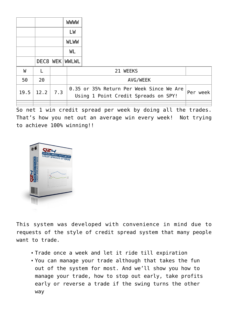|      |          |     | <b>WWWW</b>  |                                                                                              |  |
|------|----------|-----|--------------|----------------------------------------------------------------------------------------------|--|
|      |          |     | LW           |                                                                                              |  |
|      |          |     | <b>WLWW</b>  |                                                                                              |  |
|      |          |     | WL           |                                                                                              |  |
|      | DEC8 WEK |     | <b>WWLWL</b> |                                                                                              |  |
| W    |          |     |              | 21 WEEKS                                                                                     |  |
| 50   | 20       |     |              | AVG/WEEK                                                                                     |  |
| 19.5 | 12.2     | 7.3 |              | 0.35 or 35% Return Per Week Since We Are<br>Per week<br>Using 1 Point Credit Spreads on SPY! |  |
|      |          |     |              |                                                                                              |  |

So net 1 win credit spread per week by doing all the trades. That's how you net out an average win every week! Not trying to achieve 100% winning!!



This system was developed with convenience in mind due to requests of the style of credit spread system that many people want to trade.

- Trade once a week and let it ride till expiration
- You can manage your trade although that takes the fun out of the system for most. And we'll show you how to manage your trade, how to stop out early, take profits early or reverse a trade if the swing turns the other way